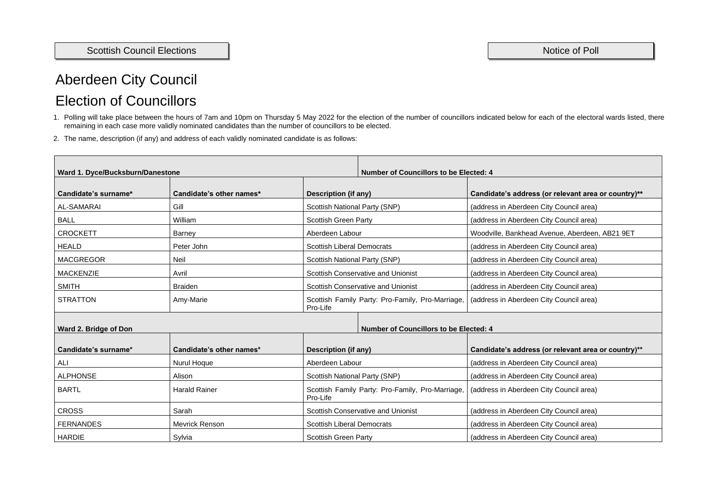# Aberdeen City Council Election of Councillors

- 1. Polling will take place between the hours of 7am and 10pm on Thursday 5 May 2022 for the election of the number of councillors indicated below for each of the electoral wards listed, there remaining in each case more validly nominated candidates than the number of councillors to be elected.
- 2. The name, description (if any) and address of each validly nominated candidate is as follows:

| <b>Number of Councillors to be Elected: 4</b><br>Ward 1. Dyce/Bucksburn/Danestone |                          |                                                              |                                                     |  |
|-----------------------------------------------------------------------------------|--------------------------|--------------------------------------------------------------|-----------------------------------------------------|--|
| Candidate's surname*                                                              | Candidate's other names* | Description (if any)                                         | Candidate's address (or relevant area or country)** |  |
| <b>AL-SAMARAI</b>                                                                 | Gill                     | <b>Scottish National Party (SNP)</b>                         | (address in Aberdeen City Council area)             |  |
| <b>BALL</b>                                                                       | William                  | <b>Scottish Green Party</b>                                  | (address in Aberdeen City Council area)             |  |
| <b>CROCKETT</b>                                                                   | <b>Barney</b>            | Aberdeen Labour                                              | Woodville, Bankhead Avenue, Aberdeen, AB21 9ET      |  |
| <b>HEALD</b>                                                                      | Peter John               | <b>Scottish Liberal Democrats</b>                            | (address in Aberdeen City Council area)             |  |
| <b>MACGREGOR</b>                                                                  | <b>Neil</b>              | <b>Scottish National Party (SNP)</b>                         | (address in Aberdeen City Council area)             |  |
| <b>MACKENZIE</b>                                                                  | Avril                    | <b>Scottish Conservative and Unionist</b>                    | (address in Aberdeen City Council area)             |  |
| <b>SMITH</b>                                                                      | <b>Braiden</b>           | <b>Scottish Conservative and Unionist</b>                    | (address in Aberdeen City Council area)             |  |
| <b>STRATTON</b>                                                                   | Amy-Marie                | Scottish Family Party: Pro-Family, Pro-Marriage,<br>Pro-Life | (address in Aberdeen City Council area)             |  |
| <b>Number of Councillors to be Elected: 4</b><br>Ward 2. Bridge of Don            |                          |                                                              |                                                     |  |
| Candidate's surname*                                                              | Candidate's other names* | <b>Description (if any)</b>                                  | Candidate's address (or relevant area or country)** |  |
| <b>ALI</b>                                                                        | <b>Nurul Hoque</b>       | Aberdeen Labour                                              | (address in Aberdeen City Council area)             |  |
| <b>ALPHONSE</b>                                                                   | Alison                   | <b>Scottish National Party (SNP)</b>                         | (address in Aberdeen City Council area)             |  |
| <b>BARTL</b>                                                                      | <b>Harald Rainer</b>     | Scottish Family Party: Pro-Family, Pro-Marriage,<br>Pro-Life | (address in Aberdeen City Council area)             |  |
| <b>CROSS</b>                                                                      | Sarah                    | <b>Scottish Conservative and Unionist</b>                    | (address in Aberdeen City Council area)             |  |
| <b>FERNANDES</b>                                                                  | <b>Mevrick Renson</b>    | <b>Scottish Liberal Democrats</b>                            | (address in Aberdeen City Council area)             |  |
| <b>HARDIE</b>                                                                     | Sylvia                   | <b>Scottish Green Party</b>                                  | (address in Aberdeen City Council area)             |  |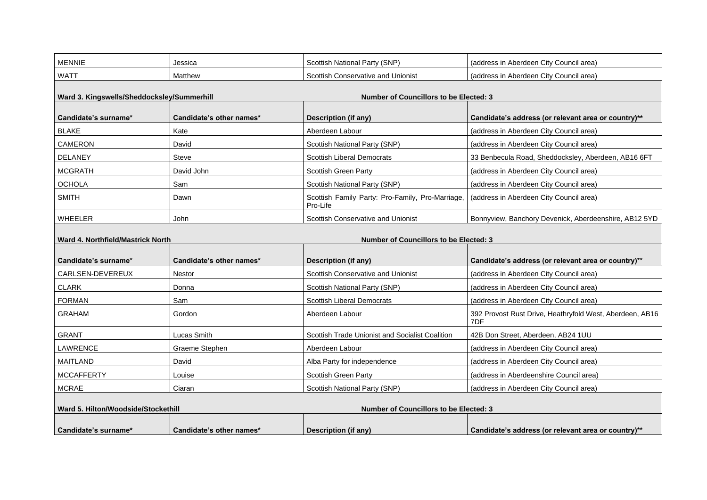| <b>MENNIE</b>                                                                             | Jessica                  | <b>Scottish National Party (SNP)</b>                         | (address in Aberdeen City Council area)                         |  |
|-------------------------------------------------------------------------------------------|--------------------------|--------------------------------------------------------------|-----------------------------------------------------------------|--|
| <b>WATT</b>                                                                               | <b>Matthew</b>           | <b>Scottish Conservative and Unionist</b>                    | (address in Aberdeen City Council area)                         |  |
|                                                                                           |                          |                                                              |                                                                 |  |
| Ward 3. Kingswells/Sheddocksley/Summerhill                                                |                          |                                                              | <b>Number of Councillors to be Elected: 3</b>                   |  |
| Candidate's surname*                                                                      | Candidate's other names* | Description (if any)                                         | Candidate's address (or relevant area or country)**             |  |
| <b>BLAKE</b>                                                                              | Kate                     | Aberdeen Labour                                              | (address in Aberdeen City Council area)                         |  |
| <b>CAMERON</b>                                                                            | David                    | <b>Scottish National Party (SNP)</b>                         | (address in Aberdeen City Council area)                         |  |
| <b>DELANEY</b>                                                                            | <b>Steve</b>             | <b>Scottish Liberal Democrats</b>                            | 33 Benbecula Road, Sheddocksley, Aberdeen, AB16 6FT             |  |
| <b>MCGRATH</b>                                                                            | David John               | <b>Scottish Green Party</b>                                  | (address in Aberdeen City Council area)                         |  |
| <b>OCHOLA</b>                                                                             | Sam                      | <b>Scottish National Party (SNP)</b>                         | (address in Aberdeen City Council area)                         |  |
| <b>SMITH</b>                                                                              | Dawn                     | Scottish Family Party: Pro-Family, Pro-Marriage,<br>Pro-Life | (address in Aberdeen City Council area)                         |  |
| <b>WHEELER</b>                                                                            | John                     | <b>Scottish Conservative and Unionist</b>                    | Bonnyview, Banchory Devenick, Aberdeenshire, AB12 5YD           |  |
| <b>Number of Councillors to be Elected: 3</b><br><b>Ward 4. Northfield/Mastrick North</b> |                          |                                                              |                                                                 |  |
| Candidate's surname*                                                                      | Candidate's other names* | <b>Description (if any)</b>                                  | Candidate's address (or relevant area or country)**             |  |
| CARLSEN-DEVEREUX                                                                          | <b>Nestor</b>            | <b>Scottish Conservative and Unionist</b>                    | (address in Aberdeen City Council area)                         |  |
| <b>CLARK</b>                                                                              | Donna                    | <b>Scottish National Party (SNP)</b>                         | (address in Aberdeen City Council area)                         |  |
| <b>FORMAN</b>                                                                             | Sam                      | <b>Scottish Liberal Democrats</b>                            | (address in Aberdeen City Council area)                         |  |
| <b>GRAHAM</b>                                                                             | Gordon                   | Aberdeen Labour                                              | 392 Provost Rust Drive, Heathryfold West, Aberdeen, AB16<br>7DF |  |
| <b>GRANT</b>                                                                              | <b>Lucas Smith</b>       | <b>Scottish Trade Unionist and Socialist Coalition</b>       | 42B Don Street, Aberdeen, AB24 1UU                              |  |
| <b>LAWRENCE</b>                                                                           | Graeme Stephen           | Aberdeen Labour                                              | (address in Aberdeen City Council area)                         |  |
| <b>MAITLAND</b>                                                                           | David                    | Alba Party for independence                                  | (address in Aberdeen City Council area)                         |  |
| <b>MCCAFFERTY</b>                                                                         | Louise                   | <b>Scottish Green Party</b>                                  | (address in Aberdeenshire Council area)                         |  |
| MCRAE                                                                                     | Ciaran                   | <b>Scottish National Party (SNP)</b>                         | (address in Aberdeen City Council area)                         |  |
| Ward 5. Hilton/Woodside/Stockethill<br><b>Number of Councillors to be Elected: 3</b>      |                          |                                                              |                                                                 |  |
| Candidate's surname*                                                                      | Candidate's other names* | <b>Description (if any)</b>                                  | Candidate's address (or relevant area or country)**             |  |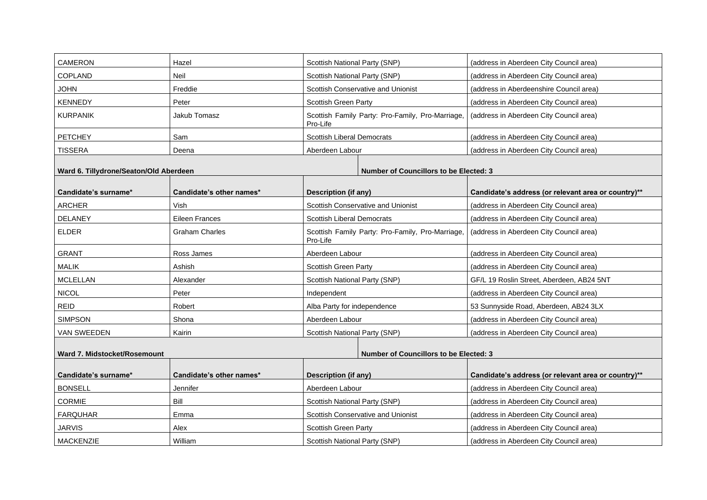| <b>CAMERON</b>                                                                       | Hazel                    | <b>Scottish National Party (SNP)</b>                         | (address in Aberdeen City Council area)             |  |
|--------------------------------------------------------------------------------------|--------------------------|--------------------------------------------------------------|-----------------------------------------------------|--|
| <b>COPLAND</b>                                                                       | <b>Neil</b>              | <b>Scottish National Party (SNP)</b>                         | (address in Aberdeen City Council area)             |  |
| <b>JOHN</b>                                                                          | Freddie                  | <b>Scottish Conservative and Unionist</b>                    | (address in Aberdeenshire Council area)             |  |
| <b>KENNEDY</b>                                                                       | Peter                    | <b>Scottish Green Party</b>                                  | (address in Aberdeen City Council area)             |  |
| <b>KURPANIK</b>                                                                      | <b>Jakub Tomasz</b>      | Scottish Family Party: Pro-Family, Pro-Marriage,<br>Pro-Life | (address in Aberdeen City Council area)             |  |
| <b>PETCHEY</b>                                                                       | Sam                      | <b>Scottish Liberal Democrats</b>                            | (address in Aberdeen City Council area)             |  |
| <b>TISSERA</b>                                                                       | Deena                    | Aberdeen Labour                                              | (address in Aberdeen City Council area)             |  |
| Ward 6. Tillydrone/Seaton/Old Aberdeen                                               |                          | <b>Number of Councillors to be Elected: 3</b>                |                                                     |  |
| Candidate's surname*                                                                 | Candidate's other names* | <b>Description (if any)</b>                                  | Candidate's address (or relevant area or country)** |  |
| <b>ARCHER</b>                                                                        | Vish                     | <b>Scottish Conservative and Unionist</b>                    | (address in Aberdeen City Council area)             |  |
| <b>DELANEY</b>                                                                       | <b>Eileen Frances</b>    | <b>Scottish Liberal Democrats</b>                            | (address in Aberdeen City Council area)             |  |
| <b>ELDER</b>                                                                         | <b>Graham Charles</b>    | Scottish Family Party: Pro-Family, Pro-Marriage,<br>Pro-Life | (address in Aberdeen City Council area)             |  |
| <b>GRANT</b>                                                                         | Ross James               | Aberdeen Labour                                              | (address in Aberdeen City Council area)             |  |
| <b>MALIK</b>                                                                         | Ashish                   | <b>Scottish Green Party</b>                                  | (address in Aberdeen City Council area)             |  |
| <b>MCLELLAN</b>                                                                      | Alexander                | <b>Scottish National Party (SNP)</b>                         | GF/L 19 Roslin Street, Aberdeen, AB24 5NT           |  |
| <b>NICOL</b>                                                                         | Peter                    | Independent                                                  | (address in Aberdeen City Council area)             |  |
| <b>REID</b>                                                                          | Robert                   | Alba Party for independence                                  | 53 Sunnyside Road, Aberdeen, AB24 3LX               |  |
| <b>SIMPSON</b>                                                                       | Shona                    | Aberdeen Labour                                              | (address in Aberdeen City Council area)             |  |
| <b>VAN SWEEDEN</b>                                                                   | Kairin                   | <b>Scottish National Party (SNP)</b>                         | (address in Aberdeen City Council area)             |  |
| <b>Ward 7. Midstocket/Rosemount</b><br><b>Number of Councillors to be Elected: 3</b> |                          |                                                              |                                                     |  |
|                                                                                      |                          |                                                              |                                                     |  |
| Candidate's surname*                                                                 | Candidate's other names* | <b>Description (if any)</b>                                  | Candidate's address (or relevant area or country)** |  |
| <b>BONSELL</b>                                                                       | Jennifer                 | Aberdeen Labour                                              | (address in Aberdeen City Council area)             |  |
| <b>CORMIE</b>                                                                        | <b>Bill</b>              | <b>Scottish National Party (SNP)</b>                         | (address in Aberdeen City Council area)             |  |
| <b>FARQUHAR</b>                                                                      | Emma                     | <b>Scottish Conservative and Unionist</b>                    | (address in Aberdeen City Council area)             |  |
| <b>JARVIS</b>                                                                        | Alex                     | <b>Scottish Green Party</b>                                  | (address in Aberdeen City Council area)             |  |
| <b>MACKENZIE</b>                                                                     | William                  | <b>Scottish National Party (SNP)</b>                         | (address in Aberdeen City Council area)             |  |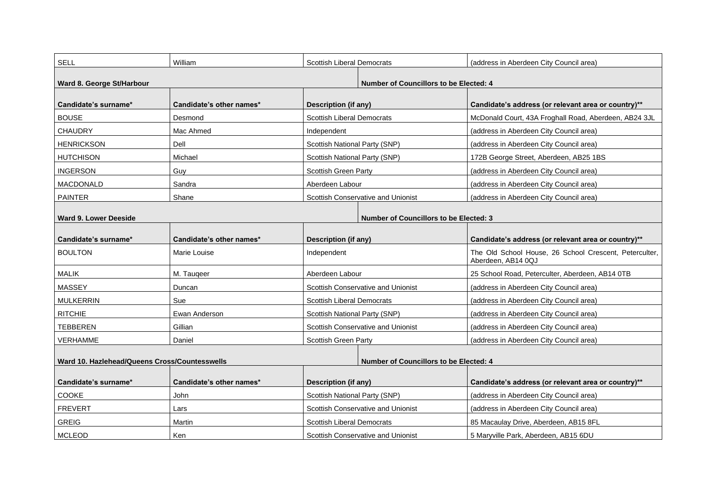| <b>SELL</b>                                   | William                  | <b>Scottish Liberal Democrats</b>             | (address in Aberdeen                     |
|-----------------------------------------------|--------------------------|-----------------------------------------------|------------------------------------------|
|                                               |                          |                                               |                                          |
| <b>Ward 8. George St/Harbour</b>              |                          | <b>Number of Councillors to be Elected: 4</b> |                                          |
| Candidate's surname*                          | Candidate's other names* | Description (if any)                          | <b>Candidate's addres:</b>               |
| <b>BOUSE</b>                                  | Desmond                  | <b>Scottish Liberal Democrats</b>             | McDonald Court, 43A                      |
| <b>CHAUDRY</b>                                | Mac Ahmed                | Independent                                   | (address in Aberdeer                     |
| <b>HENRICKSON</b>                             | Dell                     | <b>Scottish National Party (SNP)</b>          | (address in Aberdeer                     |
| <b>HUTCHISON</b>                              | Michael                  | <b>Scottish National Party (SNP)</b>          | 172B George Street,                      |
| <b>INGERSON</b>                               | Guy                      | <b>Scottish Green Party</b>                   | (address in Aberdeer                     |
| <b>MACDONALD</b>                              | Sandra                   | Aberdeen Labour                               | (address in Aberdeer                     |
| <b>PAINTER</b>                                | Shane                    | <b>Scottish Conservative and Unionist</b>     | (address in Aberdeer                     |
|                                               |                          |                                               |                                          |
| <b>Ward 9. Lower Deeside</b>                  |                          | <b>Number of Councillors to be Elected: 3</b> |                                          |
| Candidate's surname*                          | Candidate's other names* | <b>Description (if any)</b>                   | <b>Candidate's addres:</b>               |
| <b>BOULTON</b>                                | <b>Marie Louise</b>      | Independent                                   | The Old School Hou<br>Aberdeen, AB14 0QJ |
| <b>MALIK</b>                                  | M. Taugeer               | Aberdeen Labour                               | 25 School Road, Pete                     |
| <b>MASSEY</b>                                 | Duncan                   | <b>Scottish Conservative and Unionist</b>     | (address in Aberdeer                     |
| <b>MULKERRIN</b>                              | Sue                      | <b>Scottish Liberal Democrats</b>             | (address in Aberdeer                     |
| <b>RITCHIE</b>                                | Ewan Anderson            | <b>Scottish National Party (SNP)</b>          | (address in Aberdeer                     |
| TEBBEREN                                      | Gillian                  | <b>Scottish Conservative and Unionist</b>     | (address in Aberdeer                     |
| VERHAMME                                      | Daniel                   | <b>Scottish Green Party</b>                   | (address in Aberdeer                     |
| Ward 10. Hazlehead/Queens Cross/Countesswells |                          | <b>Number of Councillors to be Elected: 4</b> |                                          |
|                                               |                          |                                               |                                          |
| Candidate's surname*                          | Candidate's other names* | Description (if any)                          | <b>Candidate's addres:</b>               |
| COOKE                                         | John                     | <b>Scottish National Party (SNP)</b>          | (address in Aberdeer                     |
| <b>FREVERT</b>                                | Lars                     | <b>Scottish Conservative and Unionist</b>     | (address in Aberdeer                     |
| <b>GREIG</b>                                  | Martin                   | <b>Scottish Liberal Democrats</b>             | 85 Macaulay Drive, A                     |
| <b>MCLEOD</b>                                 | Ken                      | <b>Scottish Conservative and Unionist</b>     | 5 Maryville Park, Abe                    |

# n City Council area)

# **S** (or relevant area or country) **\*\***

A Froghall Road, Aberdeen, AB24 3JL

n City Council area)

n City Council area)

Aberdeen, AB25 1BS

In City Council area)

n City Council area)

n City Council area)

#### **S** (or relevant area or country)\*\*

use, 26 School Crescent, Peterculter,

erculter, Aberdeen, AB14 0TB

m City Council area)

m City Council area)

n City Council area)

n City Council area)

n City Council area)

### **Salue to Candidate (in The Canadidate System Country)** \*\*

n City Council area)

n City Council area)

Aberdeen, AB15 8FL

erdeen, AB15 6DU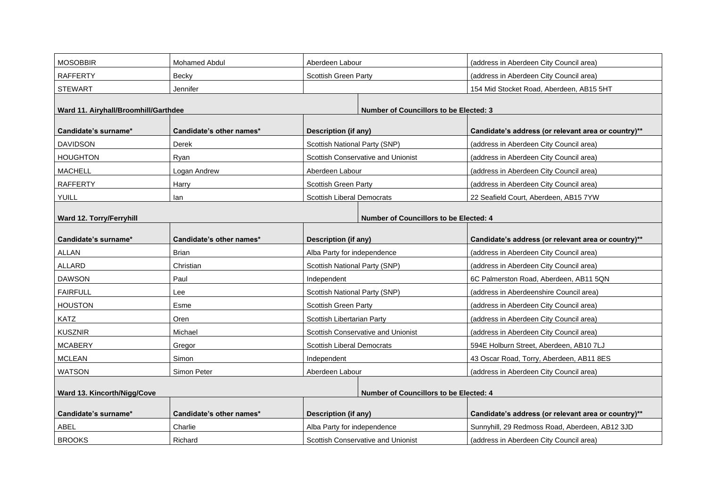| <b>MOSOBBIR</b>                                                                  | <b>Mohamed Abdul</b>     | Aberdeen Labour                               | (address in Aberdeen City Council area)             |
|----------------------------------------------------------------------------------|--------------------------|-----------------------------------------------|-----------------------------------------------------|
| <b>RAFFERTY</b>                                                                  | Becky                    | <b>Scottish Green Party</b>                   | (address in Aberdeen City Council area)             |
| <b>STEWART</b>                                                                   | Jennifer                 |                                               | 154 Mid Stocket Road, Aberdeen, AB15 5HT            |
|                                                                                  |                          |                                               |                                                     |
| Ward 11. Airyhall/Broomhill/Garthdee                                             |                          | <b>Number of Councillors to be Elected: 3</b> |                                                     |
| Candidate's surname*                                                             | Candidate's other names* | <b>Description (if any)</b>                   | Candidate's address (or relevant area or country)** |
| <b>DAVIDSON</b>                                                                  | <b>Derek</b>             | <b>Scottish National Party (SNP)</b>          | (address in Aberdeen City Council area)             |
| <b>HOUGHTON</b>                                                                  | Ryan                     | <b>Scottish Conservative and Unionist</b>     | (address in Aberdeen City Council area)             |
| <b>MACHELL</b>                                                                   | Logan Andrew             | Aberdeen Labour                               | (address in Aberdeen City Council area)             |
| <b>RAFFERTY</b>                                                                  | Harry                    | <b>Scottish Green Party</b>                   | (address in Aberdeen City Council area)             |
| <b>YUILL</b>                                                                     | lan                      | <b>Scottish Liberal Democrats</b>             | 22 Seafield Court, Aberdeen, AB15 7YW               |
|                                                                                  |                          |                                               |                                                     |
| <b>Ward 12. Torry/Ferryhill</b><br><b>Number of Councillors to be Elected: 4</b> |                          |                                               |                                                     |
| Candidate's surname*                                                             | Candidate's other names* | <b>Description (if any)</b>                   | Candidate's address (or relevant area or country)** |
| <b>ALLAN</b>                                                                     | <b>Brian</b>             | Alba Party for independence                   | (address in Aberdeen City Council area)             |
| ALLARD                                                                           | Christian                | <b>Scottish National Party (SNP)</b>          | (address in Aberdeen City Council area)             |
| <b>DAWSON</b>                                                                    | Paul                     | Independent                                   | 6C Palmerston Road, Aberdeen, AB11 5QN              |
| <b>FAIRFULL</b>                                                                  | Lee                      | <b>Scottish National Party (SNP)</b>          | (address in Aberdeenshire Council area)             |
| <b>HOUSTON</b>                                                                   | Esme                     | <b>Scottish Green Party</b>                   | (address in Aberdeen City Council area)             |
| <b>KATZ</b>                                                                      | Oren                     | <b>Scottish Libertarian Party</b>             | (address in Aberdeen City Council area)             |
| <b>KUSZNIR</b>                                                                   | Michael                  | <b>Scottish Conservative and Unionist</b>     | (address in Aberdeen City Council area)             |
| <b>MCABERY</b>                                                                   | Gregor                   | <b>Scottish Liberal Democrats</b>             | 594E Holburn Street, Aberdeen, AB10 7LJ             |
| <b>MCLEAN</b>                                                                    | Simon                    | Independent                                   | 43 Oscar Road, Torry, Aberdeen, AB11 8ES            |
| <b>WATSON</b>                                                                    | <b>Simon Peter</b>       | Aberdeen Labour                               | (address in Aberdeen City Council area)             |
| <b>Ward 13. Kincorth/Nigg/Cove</b>                                               |                          | <b>Number of Councillors to be Elected: 4</b> |                                                     |
| Candidate's surname*                                                             | Candidate's other names* | <b>Description (if any)</b>                   | Candidate's address (or relevant area or country)** |
| ABEL                                                                             | Charlie                  | Alba Party for independence                   | Sunnyhill, 29 Redmoss Road, Aberdeen, AB12 3JD      |
| <b>BROOKS</b>                                                                    | Richard                  | <b>Scottish Conservative and Unionist</b>     | (address in Aberdeen City Council area)             |